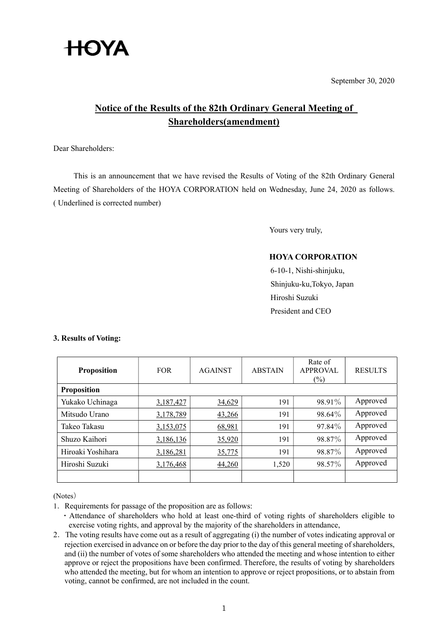

September 30, 2020

## Notice of the Results of the 82th Ordinary General Meeting of Shareholders(amendment)

Dear Shareholders:

This is an announcement that we have revised the Results of Voting of the 82th Ordinary General Meeting of Shareholders of the HOYA CORPORATION held on Wednesday, June 24, 2020 as follows. ( Underlined is corrected number)

Yours very truly,

## HOYA CORPORATION

6-10-1, Nishi-shinjuku, Shinjuku-ku,Tokyo, Japan Hiroshi Suzuki President and CEO

| <b>Proposition</b> | <b>FOR</b> | <b>AGAINST</b> | <b>ABSTAIN</b> | Rate of<br><b>APPROVAL</b><br>$(\%)$ | <b>RESULTS</b> |
|--------------------|------------|----------------|----------------|--------------------------------------|----------------|
| <b>Proposition</b> |            |                |                |                                      |                |
| Yukako Uchinaga    | 3,187,427  | 34,629         | 191            | 98.91%                               | Approved       |
| Mitsudo Urano      | 3,178,789  | 43,266         | 191            | 98.64%                               | Approved       |
| Takeo Takasu       | 3,153,075  | 68,981         | 191            | 97.84%                               | Approved       |
| Shuzo Kaihori      | 3,186,136  | 35,920         | 191            | 98.87%                               | Approved       |
| Hiroaki Yoshihara  | 3,186,281  | 35,775         | 191            | 98.87%                               | Approved       |
| Hiroshi Suzuki     | 3,176,468  | 44,260         | 1,520          | 98.57%                               | Approved       |
|                    |            |                |                |                                      |                |

## 3. Results of Voting:

(Notes)

1.Requirements for passage of the proposition are as follows:

・Attendance of shareholders who hold at least one-third of voting rights of shareholders eligible to exercise voting rights, and approval by the majority of the shareholders in attendance,

2.The voting results have come out as a result of aggregating (i) the number of votes indicating approval or rejection exercised in advance on or before the day prior to the day of this general meeting of shareholders, and (ii) the number of votes of some shareholders who attended the meeting and whose intention to either approve or reject the propositions have been confirmed. Therefore, the results of voting by shareholders who attended the meeting, but for whom an intention to approve or reject propositions, or to abstain from voting, cannot be confirmed, are not included in the count.